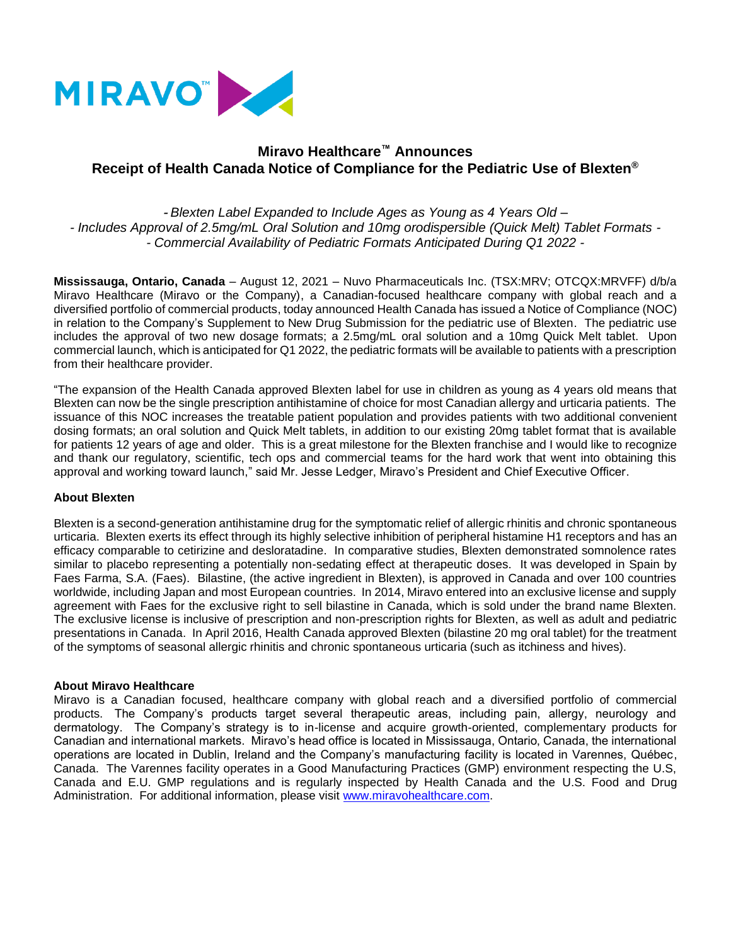

# **Miravo Healthcare™ Announces Receipt of Health Canada Notice of Compliance for the Pediatric Use of Blexten®**

- *Blexten Label Expanded to Include Ages as Young as 4 Years Old – - Includes Approval of 2.5mg/mL Oral Solution and 10mg orodispersible (Quick Melt) Tablet Formats - - Commercial Availability of Pediatric Formats Anticipated During Q1 2022 -*

**Mississauga, Ontario, Canada** – August 12, 2021 – Nuvo Pharmaceuticals Inc. (TSX:MRV; OTCQX:MRVFF) d/b/a Miravo Healthcare (Miravo or the Company), a Canadian-focused healthcare company with global reach and a diversified portfolio of commercial products, today announced Health Canada has issued a Notice of Compliance (NOC) in relation to the Company's Supplement to New Drug Submission for the pediatric use of Blexten. The pediatric use includes the approval of two new dosage formats; a 2.5mg/mL oral solution and a 10mg Quick Melt tablet. Upon commercial launch, which is anticipated for Q1 2022, the pediatric formats will be available to patients with a prescription from their healthcare provider.

"The expansion of the Health Canada approved Blexten label for use in children as young as 4 years old means that Blexten can now be the single prescription antihistamine of choice for most Canadian allergy and urticaria patients. The issuance of this NOC increases the treatable patient population and provides patients with two additional convenient dosing formats; an oral solution and Quick Melt tablets, in addition to our existing 20mg tablet format that is available for patients 12 years of age and older. This is a great milestone for the Blexten franchise and I would like to recognize and thank our regulatory, scientific, tech ops and commercial teams for the hard work that went into obtaining this approval and working toward launch," said Mr. Jesse Ledger, Miravo's President and Chief Executive Officer.

### **About Blexten**

Blexten is a second-generation antihistamine drug for the symptomatic relief of allergic rhinitis and chronic spontaneous urticaria. Blexten exerts its effect through its highly selective inhibition of peripheral histamine H1 receptors and has an efficacy comparable to cetirizine and desloratadine. In comparative studies, Blexten demonstrated somnolence rates similar to placebo representing a potentially non-sedating effect at therapeutic doses. It was developed in Spain by Faes Farma, S.A. (Faes). Bilastine, (the active ingredient in Blexten), is approved in Canada and over 100 countries worldwide, including Japan and most European countries. In 2014, Miravo entered into an exclusive license and supply agreement with Faes for the exclusive right to sell bilastine in Canada, which is sold under the brand name Blexten. The exclusive license is inclusive of prescription and non-prescription rights for Blexten, as well as adult and pediatric presentations in Canada. In April 2016, Health Canada approved Blexten (bilastine 20 mg oral tablet) for the treatment of the symptoms of seasonal allergic rhinitis and chronic spontaneous urticaria (such as itchiness and hives).

### **About Miravo Healthcare**

Miravo is a Canadian focused, healthcare company with global reach and a diversified portfolio of commercial products. The Company's products target several therapeutic areas, including pain, allergy, neurology and dermatology. The Company's strategy is to in-license and acquire growth-oriented, complementary products for Canadian and international markets. Miravo's head office is located in Mississauga, Ontario, Canada, the international operations are located in Dublin, Ireland and the Company's manufacturing facility is located in Varennes, Québec, Canada. The Varennes facility operates in a Good Manufacturing Practices (GMP) environment respecting the U.S, Canada and E.U. GMP regulations and is regularly inspected by Health Canada and the U.S. Food and Drug Administration. For additional information, please visit [www.miravohealthcare.com.](http://www.miravohealthcare.com/)